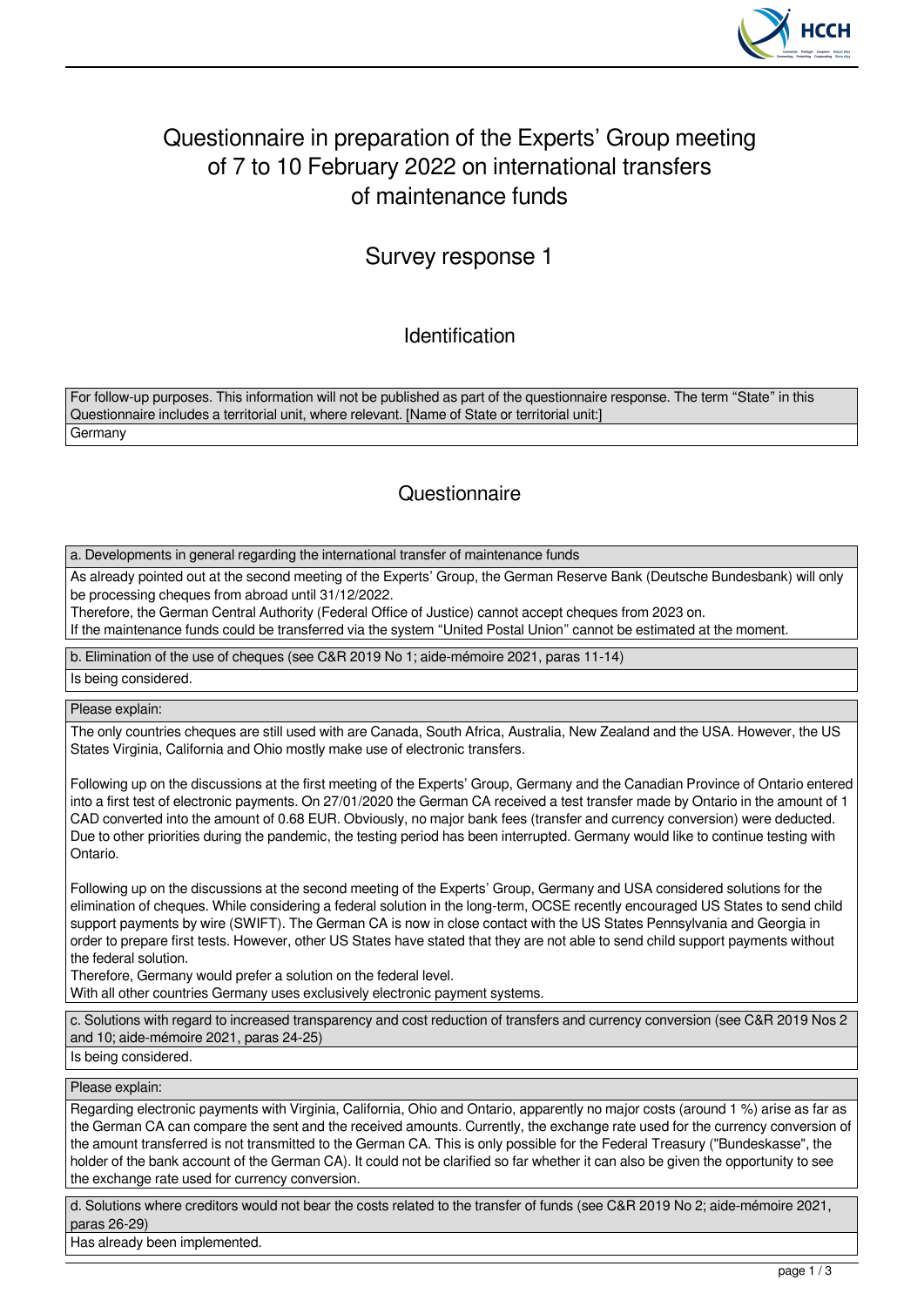

# Questionnaire in preparation of the Experts' Group meeting of 7 to 10 February 2022 on international transfers of maintenance funds

## Survey response 1

Identification

For follow-up purposes. This information will not be published as part of the questionnaire response. The term "State" in this Questionnaire includes a territorial unit, where relevant. [Name of State or territorial unit:] **Germany** 

### **Questionnaire**

a. Developments in general regarding the international transfer of maintenance funds

As already pointed out at the second meeting of the Experts' Group, the German Reserve Bank (Deutsche Bundesbank) will only be processing cheques from abroad until 31/12/2022.

Therefore, the German Central Authority (Federal Office of Justice) cannot accept cheques from 2023 on.

If the maintenance funds could be transferred via the system "United Postal Union" cannot be estimated at the moment.

b. Elimination of the use of cheques (see C&R 2019 No 1; aide-mémoire 2021, paras 11-14)

Is being considered.

Please explain:

The only countries cheques are still used with are Canada, South Africa, Australia, New Zealand and the USA. However, the US States Virginia, California and Ohio mostly make use of electronic transfers.

Following up on the discussions at the first meeting of the Experts' Group, Germany and the Canadian Province of Ontario entered into a first test of electronic payments. On 27/01/2020 the German CA received a test transfer made by Ontario in the amount of 1 CAD converted into the amount of 0.68 EUR. Obviously, no major bank fees (transfer and currency conversion) were deducted. Due to other priorities during the pandemic, the testing period has been interrupted. Germany would like to continue testing with Ontario.

Following up on the discussions at the second meeting of the Experts' Group, Germany and USA considered solutions for the elimination of cheques. While considering a federal solution in the long-term, OCSE recently encouraged US States to send child support payments by wire (SWIFT). The German CA is now in close contact with the US States Pennsylvania and Georgia in order to prepare first tests. However, other US States have stated that they are not able to send child support payments without the federal solution.

Therefore, Germany would prefer a solution on the federal level. With all other countries Germany uses exclusively electronic payment systems.

c. Solutions with regard to increased transparency and cost reduction of transfers and currency conversion (see C&R 2019 Nos 2 and 10; aide-mémoire 2021, paras 24-25)

Is being considered.

Please explain:

Regarding electronic payments with Virginia, California, Ohio and Ontario, apparently no major costs (around 1 %) arise as far as the German CA can compare the sent and the received amounts. Currently, the exchange rate used for the currency conversion of the amount transferred is not transmitted to the German CA. This is only possible for the Federal Treasury ("Bundeskasse", the holder of the bank account of the German CA). It could not be clarified so far whether it can also be given the opportunity to see the exchange rate used for currency conversion.

d. Solutions where creditors would not bear the costs related to the transfer of funds (see C&R 2019 No 2; aide-mémoire 2021, paras 26-29)

Has already been implemented.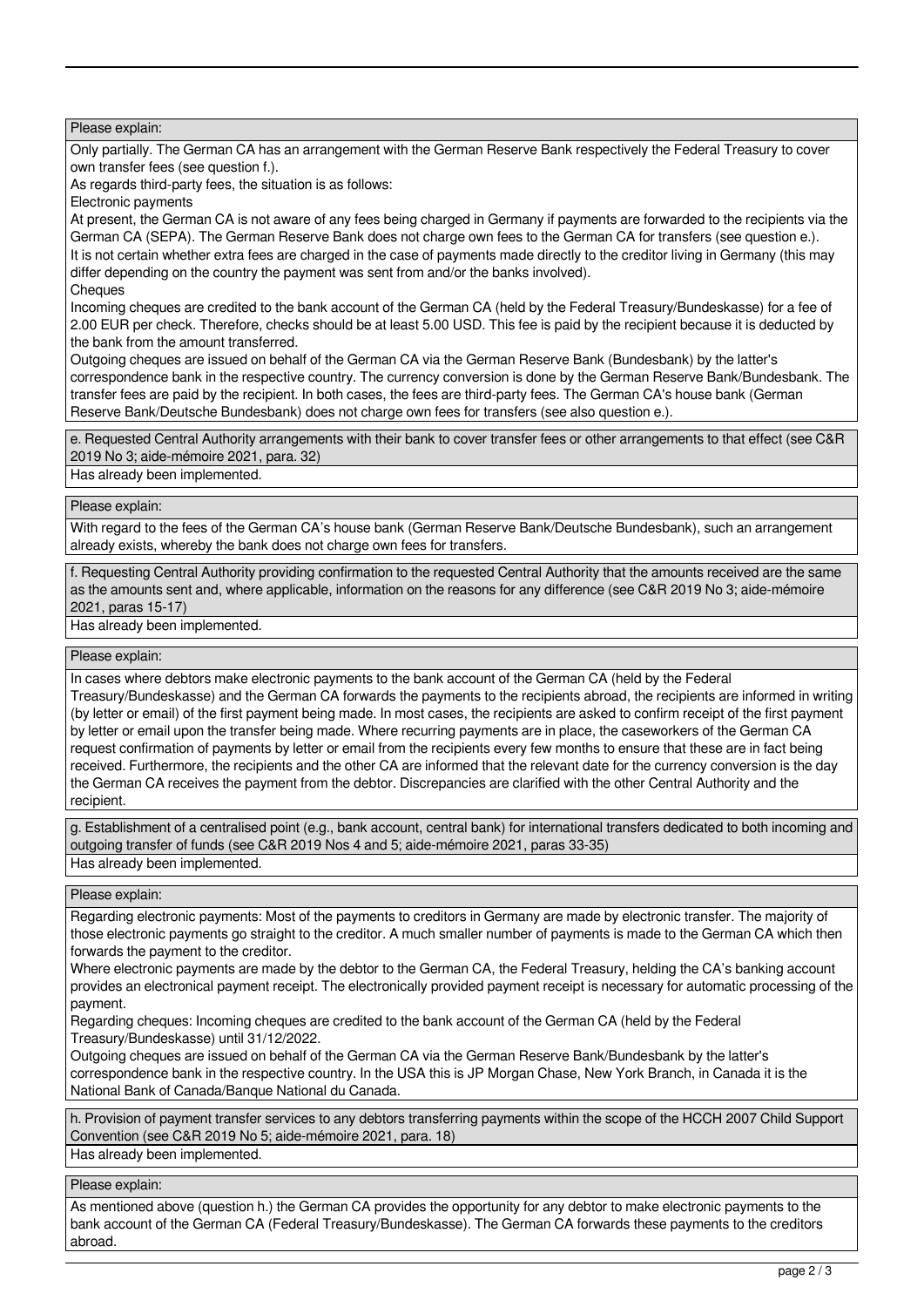Please explain:

Only partially. The German CA has an arrangement with the German Reserve Bank respectively the Federal Treasury to cover own transfer fees (see question f.).

As regards third-party fees, the situation is as follows:

Electronic payments

At present, the German CA is not aware of any fees being charged in Germany if payments are forwarded to the recipients via the German CA (SEPA). The German Reserve Bank does not charge own fees to the German CA for transfers (see question e.). It is not certain whether extra fees are charged in the case of payments made directly to the creditor living in Germany (this may differ depending on the country the payment was sent from and/or the banks involved). **Cheques** 

Incoming cheques are credited to the bank account of the German CA (held by the Federal Treasury/Bundeskasse) for a fee of 2.00 EUR per check. Therefore, checks should be at least 5.00 USD. This fee is paid by the recipient because it is deducted by the bank from the amount transferred.

Outgoing cheques are issued on behalf of the German CA via the German Reserve Bank (Bundesbank) by the latter's correspondence bank in the respective country. The currency conversion is done by the German Reserve Bank/Bundesbank. The transfer fees are paid by the recipient. In both cases, the fees are third-party fees. The German CA's house bank (German Reserve Bank/Deutsche Bundesbank) does not charge own fees for transfers (see also question e.).

e. Requested Central Authority arrangements with their bank to cover transfer fees or other arrangements to that effect (see C&R 2019 No 3; aide-mémoire 2021, para. 32)

Has already been implemented.

Please explain:

With regard to the fees of the German CA's house bank (German Reserve Bank/Deutsche Bundesbank), such an arrangement already exists, whereby the bank does not charge own fees for transfers.

f. Requesting Central Authority providing confirmation to the requested Central Authority that the amounts received are the same as the amounts sent and, where applicable, information on the reasons for any difference (see C&R 2019 No 3; aide-mémoire 2021, paras 15-17)

Has already been implemented.

Please explain:

In cases where debtors make electronic payments to the bank account of the German CA (held by the Federal

Treasury/Bundeskasse) and the German CA forwards the payments to the recipients abroad, the recipients are informed in writing (by letter or email) of the first payment being made. In most cases, the recipients are asked to confirm receipt of the first payment by letter or email upon the transfer being made. Where recurring payments are in place, the caseworkers of the German CA request confirmation of payments by letter or email from the recipients every few months to ensure that these are in fact being received. Furthermore, the recipients and the other CA are informed that the relevant date for the currency conversion is the day the German CA receives the payment from the debtor. Discrepancies are clarified with the other Central Authority and the recipient.

g. Establishment of a centralised point (e.g., bank account, central bank) for international transfers dedicated to both incoming and outgoing transfer of funds (see C&R 2019 Nos 4 and 5; aide-mémoire 2021, paras 33-35) Has already been implemented.

Please explain:

Regarding electronic payments: Most of the payments to creditors in Germany are made by electronic transfer. The majority of those electronic payments go straight to the creditor. A much smaller number of payments is made to the German CA which then forwards the payment to the creditor.

Where electronic payments are made by the debtor to the German CA, the Federal Treasury, helding the CA's banking account provides an electronical payment receipt. The electronically provided payment receipt is necessary for automatic processing of the payment.

Regarding cheques: Incoming cheques are credited to the bank account of the German CA (held by the Federal Treasury/Bundeskasse) until 31/12/2022.

Outgoing cheques are issued on behalf of the German CA via the German Reserve Bank/Bundesbank by the latter's correspondence bank in the respective country. In the USA this is JP Morgan Chase, New York Branch, in Canada it is the National Bank of Canada/Banque National du Canada.

h. Provision of payment transfer services to any debtors transferring payments within the scope of the HCCH 2007 Child Support Convention (see C&R 2019 No 5; aide-mémoire 2021, para. 18) Has already been implemented.

Please explain:

As mentioned above (question h.) the German CA provides the opportunity for any debtor to make electronic payments to the bank account of the German CA (Federal Treasury/Bundeskasse). The German CA forwards these payments to the creditors abroad.